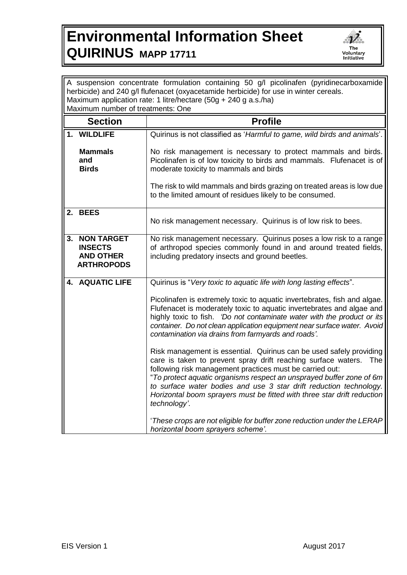## **Environmental Information Sheet QUIRINUS MAPP 17711**



| A suspension concentrate formulation containing 50 g/l picolinafen (pyridinecarboxamide<br>herbicide) and 240 g/l flufenacet (oxyacetamide herbicide) for use in winter cereals. |                                                                                                                                                                                                                                                                                                                                                                                                                                                         |
|----------------------------------------------------------------------------------------------------------------------------------------------------------------------------------|---------------------------------------------------------------------------------------------------------------------------------------------------------------------------------------------------------------------------------------------------------------------------------------------------------------------------------------------------------------------------------------------------------------------------------------------------------|
| Maximum application rate: 1 litre/hectare (50g + 240 g a.s./ha)                                                                                                                  |                                                                                                                                                                                                                                                                                                                                                                                                                                                         |
| Maximum number of treatments: One                                                                                                                                                |                                                                                                                                                                                                                                                                                                                                                                                                                                                         |
| <b>Section</b>                                                                                                                                                                   | <b>Profile</b>                                                                                                                                                                                                                                                                                                                                                                                                                                          |
| 1. WILDLIFE                                                                                                                                                                      | Quirinus is not classified as 'Harmful to game, wild birds and animals'.                                                                                                                                                                                                                                                                                                                                                                                |
| <b>Mammals</b><br>and<br><b>Birds</b>                                                                                                                                            | No risk management is necessary to protect mammals and birds.<br>Picolinafen is of low toxicity to birds and mammals. Flufenacet is of<br>moderate toxicity to mammals and birds                                                                                                                                                                                                                                                                        |
|                                                                                                                                                                                  | The risk to wild mammals and birds grazing on treated areas is low due<br>to the limited amount of residues likely to be consumed.                                                                                                                                                                                                                                                                                                                      |
| 2. BEES                                                                                                                                                                          | No risk management necessary. Quirinus is of low risk to bees.                                                                                                                                                                                                                                                                                                                                                                                          |
| 3. NON TARGET<br><b>INSECTS</b><br><b>AND OTHER</b><br><b>ARTHROPODS</b>                                                                                                         | No risk management necessary. Quirinus poses a low risk to a range<br>of arthropod species commonly found in and around treated fields,<br>including predatory insects and ground beetles.                                                                                                                                                                                                                                                              |
| <b>4. AQUATIC LIFE</b>                                                                                                                                                           | Quirinus is "Very toxic to aquatic life with long lasting effects".                                                                                                                                                                                                                                                                                                                                                                                     |
|                                                                                                                                                                                  | Picolinafen is extremely toxic to aquatic invertebrates, fish and algae.<br>Flufenacet is moderately toxic to aquatic invertebrates and algae and<br>highly toxic to fish. 'Do not contaminate water with the product or its<br>container. Do not clean application equipment near surface water. Avoid<br>contamination via drains from farmyards and roads'.                                                                                          |
|                                                                                                                                                                                  | Risk management is essential. Quirinus can be used safely providing<br>care is taken to prevent spray drift reaching surface waters.<br><b>The</b><br>following risk management practices must be carried out:<br>"To protect aquatic organisms respect an unsprayed buffer zone of 6m<br>to surface water bodies and use 3 star drift reduction technology.<br>Horizontal boom sprayers must be fitted with three star drift reduction<br>technology'. |
|                                                                                                                                                                                  | 'These crops are not eligible for buffer zone reduction under the LERAP<br>horizontal boom sprayers scheme'.                                                                                                                                                                                                                                                                                                                                            |